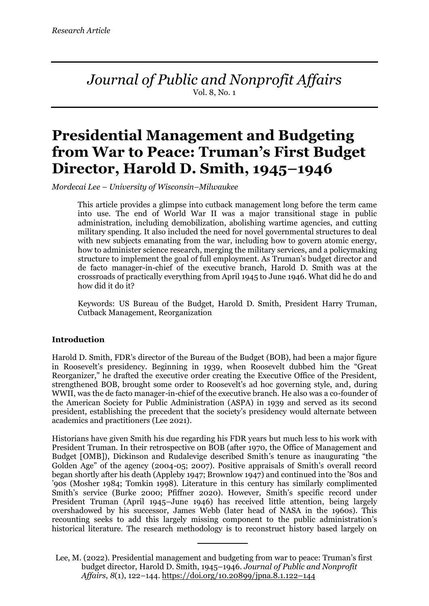*Journal of Public and Nonprofit Affairs* Vol. 8, No. 1

# **Presidential Management and Budgeting from War to Peace: Truman's First Budget Director, Harold D. Smith, 1945–1946**

*Mordecai Lee – University of Wisconsin–Milwaukee*

This article provides a glimpse into cutback management long before the term came into use. The end of World War II was a major transitional stage in public administration, including demobilization, abolishing wartime agencies, and cutting military spending. It also included the need for novel governmental structures to deal with new subjects emanating from the war, including how to govern atomic energy, how to administer science research, merging the military services, and a policymaking structure to implement the goal of full employment. As Truman's budget director and de facto manager-in-chief of the executive branch, Harold D. Smith was at the crossroads of practically everything from April 1945 to June 1946. What did he do and how did it do it?

Keywords: US Bureau of the Budget, Harold D. Smith, President Harry Truman, Cutback Management, Reorganization

## **Introduction**

Harold D. Smith, FDR's director of the Bureau of the Budget (BOB), had been a major figure in Roosevelt's presidency. Beginning in 1939, when Roosevelt dubbed him the "Great Reorganizer," he drafted the executive order creating the Executive Office of the President, strengthened BOB, brought some order to Roosevelt's ad hoc governing style, and, during WWII, was the de facto manager-in-chief of the executive branch. He also was a co-founder of the American Society for Public Administration (ASPA) in 1939 and served as its second president, establishing the precedent that the society's presidency would alternate between academics and practitioners (Lee 2021).

Historians have given Smith his due regarding his FDR years but much less to his work with President Truman. In their retrospective on BOB (after 1970, the Office of Management and Budget [OMB]), Dickinson and Rudalevige described Smith's tenure as inaugurating "the Golden Age" of the agency (2004-05; 2007). Positive appraisals of Smith's overall record began shortly after his death (Appleby 1947; Brownlow 1947) and continued into the '80s and '90s (Mosher 1984; Tomkin 1998). Literature in this century has similarly complimented Smith's service (Burke 2000; Pfiffner 2020). However, Smith's specific record under President Truman (April 1945–June 1946) has received little attention, being largely overshadowed by his successor, James Webb (later head of NASA in the 1960s). This recounting seeks to add this largely missing component to the public administration's historical literature. The research methodology is to reconstruct history based largely on

Lee, M. (2022). Presidential management and budgeting from war to peace: Truman's first budget director, Harold D. Smith, 1945–1946. *Journal of Public and Nonprofit Affairs*, *8*(1), 122–144. https://doi.org/10.20899/jpna.8.1.122–144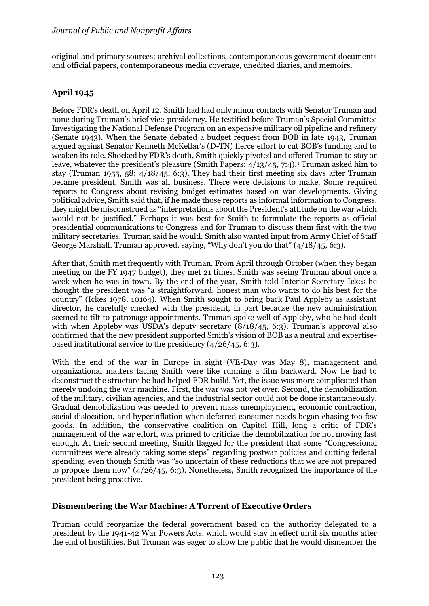original and primary sources: archival collections, contemporaneous government documents and official papers, contemporaneous media coverage, unedited diaries, and memoirs.

# **April 1945**

Before FDR's death on April 12, Smith had had only minor contacts with Senator Truman and none during Truman's brief vice-presidency. He testified before Truman's Special Committee Investigating the National Defense Program on an expensive military oil pipeline and refinery (Senate 1943). When the Senate debated a budget request from BOB in late 1943, Truman argued against Senator Kenneth McKellar's (D-TN) fierce effort to cut BOB's funding and to weaken its role. Shocked by FDR's death, Smith quickly pivoted and offered Truman to stay or leave, whatever the president's pleasure (Smith Papers:  $4/13/45$ , 7:4).<sup>1</sup> Truman asked him to stay (Truman 1955, 58;  $4/18/45$ , 6:3). They had their first meeting six days after Truman became president. Smith was all business. There were decisions to make. Some required reports to Congress about revising budget estimates based on war developments. Giving political advice, Smith said that, if he made those reports as informal information to Congress, they might be misconstrued as "interpretations about the President's attitude on the war which would not be justified." Perhaps it was best for Smith to formulate the reports as official presidential communications to Congress and for Truman to discuss them first with the two military secretaries. Truman said he would. Smith also wanted input from Army Chief of Staff George Marshall. Truman approved, saying, "Why don't you do that" (4/18/45, 6:3).

After that, Smith met frequently with Truman. From April through October (when they began meeting on the FY 1947 budget), they met 21 times. Smith was seeing Truman about once a week when he was in town. By the end of the year, Smith told Interior Secretary Ickes he thought the president was "a straightforward, honest man who wants to do his best for the country" (Ickes 1978, 10164). When Smith sought to bring back Paul Appleby as assistant director, he carefully checked with the president, in part because the new administration seemed to tilt to patronage appointments. Truman spoke well of Appleby, who he had dealt with when Appleby was USDA's deputy secretary  $(8/18/45, 6:3)$ . Truman's approval also confirmed that the new president supported Smith's vision of BOB as a neutral and expertisebased institutional service to the presidency (4/26/45, 6:3).

With the end of the war in Europe in sight (VE-Day was May 8), management and organizational matters facing Smith were like running a film backward. Now he had to deconstruct the structure he had helped FDR build. Yet, the issue was more complicated than merely undoing the war machine. First, the war was not yet over. Second, the demobilization of the military, civilian agencies, and the industrial sector could not be done instantaneously. Gradual demobilization was needed to prevent mass unemployment, economic contraction, social dislocation, and hyperinflation when deferred consumer needs began chasing too few goods. In addition, the conservative coalition on Capitol Hill, long a critic of FDR's management of the war effort, was primed to criticize the demobilization for not moving fast enough. At their second meeting, Smith flagged for the president that some "Congressional committees were already taking some steps" regarding postwar policies and cutting federal spending, even though Smith was "so uncertain of these reductions that we are not prepared to propose them now" (4/26/45, 6:3). Nonetheless, Smith recognized the importance of the president being proactive.

# **Dismembering the War Machine: A Torrent of Executive Orders**

Truman could reorganize the federal government based on the authority delegated to a president by the 1941-42 War Powers Acts, which would stay in effect until six months after the end of hostilities. But Truman was eager to show the public that he would dismember the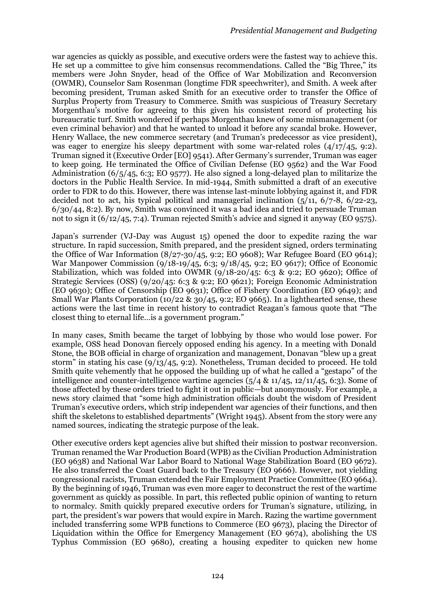war agencies as quickly as possible, and executive orders were the fastest way to achieve this. He set up a committee to give him consensus recommendations. Called the "Big Three," its members were John Snyder, head of the Office of War Mobilization and Reconversion (OWMR), Counselor Sam Rosenman (longtime FDR speechwriter), and Smith. A week after becoming president, Truman asked Smith for an executive order to transfer the Office of Surplus Property from Treasury to Commerce. Smith was suspicious of Treasury Secretary Morgenthau's motive for agreeing to this given his consistent record of protecting his bureaucratic turf. Smith wondered if perhaps Morgenthau knew of some mismanagement (or even criminal behavior) and that he wanted to unload it before any scandal broke. However, Henry Wallace, the new commerce secretary (and Truman's predecessor as vice president), was eager to energize his sleepy department with some war-related roles (4/17/45, 9:2). Truman signed it (Executive Order [EO] 9541). After Germany's surrender, Truman was eager to keep going. He terminated the Office of Civilian Defense (EO 9562) and the War Food Administration (6/5/45, 6:3; EO 9577). He also signed a long-delayed plan to militarize the doctors in the Public Health Service. In mid-1944, Smith submitted a draft of an executive order to FDR to do this. However, there was intense last-minute lobbying against it, and FDR decided not to act, his typical political and managerial inclination  $(5/11, 6/7-8, 6/22-23,$ 6/30/44, 8:2). By now, Smith was convinced it was a bad idea and tried to persuade Truman not to sign it (6/12/45, 7:4). Truman rejected Smith's advice and signed it anyway (EO 9575).

Japan's surrender (VJ-Day was August 15) opened the door to expedite razing the war structure. In rapid succession, Smith prepared, and the president signed, orders terminating the Office of War Information (8/27-30/45, 9:2; EO 9608); War Refugee Board (EO 9614); War Manpower Commission (9/18-19/45, 6:3; 9/18/45, 9:2; EO 9617); Office of Economic Stabilization, which was folded into OWMR (9/18-20/45: 6:3 & 9:2; EO 9620); Office of Strategic Services (OSS) (9/20/45: 6:3 & 9:2; EO 9621); Foreign Economic Administration (EO 9630); Office of Censorship (EO 9631); Office of Fishery Coordination (EO 9649); and Small War Plants Corporation (10/22 & 30/45, 9:2; EO 9665). In a lighthearted sense, these actions were the last time in recent history to contradict Reagan's famous quote that "The closest thing to eternal life…is a government program."

In many cases, Smith became the target of lobbying by those who would lose power. For example, OSS head Donovan fiercely opposed ending his agency. In a meeting with Donald Stone, the BOB official in charge of organization and management, Donavan "blew up a great storm" in stating his case  $(9/13/45, 9:2)$ . Nonetheless, Truman decided to proceed. He told Smith quite vehemently that he opposed the building up of what he called a "gestapo" of the intelligence and counter-intelligence wartime agencies  $(5/4 \& 11/45, 12/11/45, 6:3)$ . Some of those affected by these orders tried to fight it out in public—but anonymously. For example, a news story claimed that "some high administration officials doubt the wisdom of President Truman's executive orders, which strip independent war agencies of their functions, and then shift the skeletons to established departments" (Wright 1945). Absent from the story were any named sources, indicating the strategic purpose of the leak.

Other executive orders kept agencies alive but shifted their mission to postwar reconversion. Truman renamed the War Production Board (WPB) as the Civilian Production Administration (EO 9638) and National War Labor Board to National Wage Stabilization Board (EO 9672). He also transferred the Coast Guard back to the Treasury (EO 9666). However, not yielding congressional racists, Truman extended the Fair Employment Practice Committee (EO 9664). By the beginning of 1946, Truman was even more eager to deconstruct the rest of the wartime government as quickly as possible. In part, this reflected public opinion of wanting to return to normalcy. Smith quickly prepared executive orders for Truman's signature, utilizing, in part, the president's war powers that would expire in March. Razing the wartime government included transferring some WPB functions to Commerce (EO 9673), placing the Director of Liquidation within the Office for Emergency Management (EO 9674), abolishing the US Typhus Commission (EO 9680), creating a housing expediter to quicken new home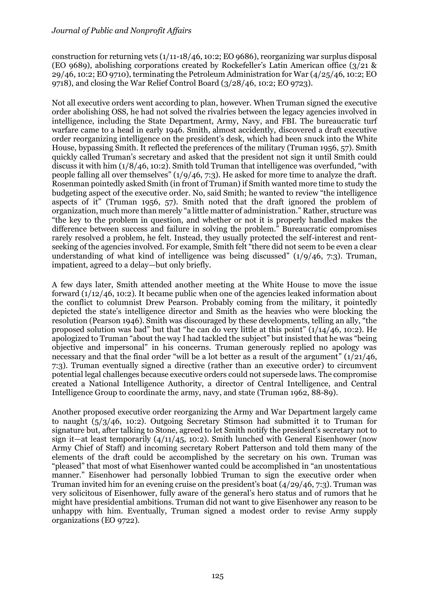construction for returning vets (1/11-18/46, 10:2; EO 9686), reorganizing war surplus disposal (EO 9689), abolishing corporations created by Rockefeller's Latin American office  $\left(\frac{3}{21} \& \right)$ 29/46, 10:2; EO 9710), terminating the Petroleum Administration for War (4/25/46, 10:2; EO 9718), and closing the War Relief Control Board (3/28/46, 10:2; EO 9723).

Not all executive orders went according to plan, however. When Truman signed the executive order abolishing OSS, he had not solved the rivalries between the legacy agencies involved in intelligence, including the State Department, Army, Navy, and FBI. The bureaucratic turf warfare came to a head in early 1946. Smith, almost accidently, discovered a draft executive order reorganizing intelligence on the president's desk, which had been snuck into the White House, bypassing Smith. It reflected the preferences of the military (Truman 1956, 57). Smith quickly called Truman's secretary and asked that the president not sign it until Smith could discuss it with him (1/8/46, 10:2). Smith told Truman that intelligence was overfunded, "with people falling all over themselves" (1/9/46, 7:3). He asked for more time to analyze the draft. Rosenman pointedly asked Smith (in front of Truman) if Smith wanted more time to study the budgeting aspect of the executive order. No, said Smith; he wanted to review "the intelligence aspects of it" (Truman 1956, 57). Smith noted that the draft ignored the problem of organization, much more than merely "a little matter of administration." Rather, structure was "the key to the problem in question, and whether or not it is properly handled makes the difference between success and failure in solving the problem." Bureaucratic compromises rarely resolved a problem, he felt. Instead, they usually protected the self-interest and rentseeking of the agencies involved. For example, Smith felt "there did not seem to be even a clear understanding of what kind of intelligence was being discussed"  $(1/9/46, 7:3)$ . Truman, impatient, agreed to a delay—but only briefly.

A few days later, Smith attended another meeting at the White House to move the issue forward  $(1/12/46, 10:2)$ . It became public when one of the agencies leaked information about the conflict to columnist Drew Pearson. Probably coming from the military, it pointedly depicted the state's intelligence director and Smith as the heavies who were blocking the resolution (Pearson 1946). Smith was discouraged by these developments, telling an ally, "the proposed solution was bad" but that "he can do very little at this point"  $(1/14/46, 10:2)$ . He apologized to Truman "about the way I had tackled the subject" but insisted that he was "being objective and impersonal" in his concerns. Truman generously replied no apology was necessary and that the final order "will be a lot better as a result of the argument" (1/21/46, 7:3). Truman eventually signed a directive (rather than an executive order) to circumvent potential legal challenges because executive orders could not supersede laws. The compromise created a National Intelligence Authority, a director of Central Intelligence, and Central Intelligence Group to coordinate the army, navy, and state (Truman 1962, 88-89).

Another proposed executive order reorganizing the Army and War Department largely came to naught (5/3/46, 10:2). Outgoing Secretary Stimson had submitted it to Truman for signature but, after talking to Stone, agreed to let Smith notify the president's secretary not to sign it—at least temporarily  $(4/11/45, 10:2)$ . Smith lunched with General Eisenhower (now Army Chief of Staff) and incoming secretary Robert Patterson and told them many of the elements of the draft could be accomplished by the secretary on his own. Truman was "pleased" that most of what Eisenhower wanted could be accomplished in "an unostentatious manner." Eisenhower had personally lobbied Truman to sign the executive order when Truman invited him for an evening cruise on the president's boat (4/29/46, 7:3). Truman was very solicitous of Eisenhower, fully aware of the general's hero status and of rumors that he might have presidential ambitions. Truman did not want to give Eisenhower any reason to be unhappy with him. Eventually, Truman signed a modest order to revise Army supply organizations (EO 9722).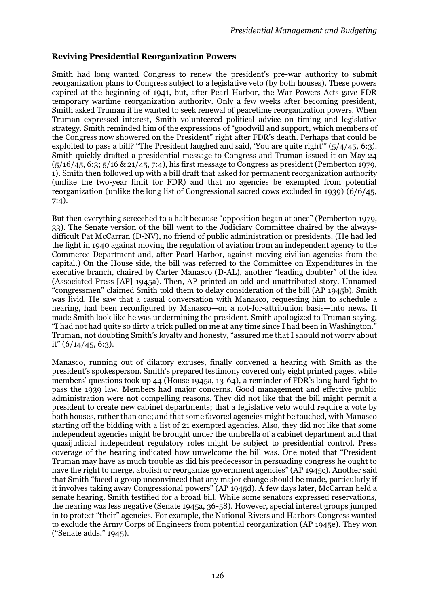# **Reviving Presidential Reorganization Powers**

Smith had long wanted Congress to renew the president's pre-war authority to submit reorganization plans to Congress subject to a legislative veto (by both houses). These powers expired at the beginning of 1941, but, after Pearl Harbor, the War Powers Acts gave FDR temporary wartime reorganization authority. Only a few weeks after becoming president, Smith asked Truman if he wanted to seek renewal of peacetime reorganization powers. When Truman expressed interest, Smith volunteered political advice on timing and legislative strategy. Smith reminded him of the expressions of "goodwill and support, which members of the Congress now showered on the President" right after FDR's death. Perhaps that could be exploited to pass a bill? "The President laughed and said, 'You are quite right'" (5/4/45, 6:3). Smith quickly drafted a presidential message to Congress and Truman issued it on May 24  $(5/16/45, 6:3; 5/16 \& 21/45, 7:4)$ , his first message to Congress as president (Pemberton 1979, 1). Smith then followed up with a bill draft that asked for permanent reorganization authority (unlike the two-year limit for FDR) and that no agencies be exempted from potential reorganization (unlike the long list of Congressional sacred cows excluded in 1939) (6/6/45, 7:4).

But then everything screeched to a halt because "opposition began at once" (Pemberton 1979, 33). The Senate version of the bill went to the Judiciary Committee chaired by the alwaysdifficult Pat McCarran (D-NV), no friend of public administration or presidents. (He had led the fight in 1940 against moving the regulation of aviation from an independent agency to the Commerce Department and, after Pearl Harbor, against moving civilian agencies from the capital.) On the House side, the bill was referred to the Committee on Expenditures in the executive branch, chaired by Carter Manasco (D-AL), another "leading doubter" of the idea (Associated Press [AP] 1945a). Then, AP printed an odd and unattributed story. Unnamed "congressmen" claimed Smith told them to delay consideration of the bill (AP 1945b). Smith was livid. He saw that a casual conversation with Manasco, requesting him to schedule a hearing, had been reconfigured by Manasco—on a not-for-attribution basis—into news. It made Smith look like he was undermining the president. Smith apologized to Truman saying, "I had not had quite so dirty a trick pulled on me at any time since I had been in Washington." Truman, not doubting Smith's loyalty and honesty, "assured me that I should not worry about it"  $(6/14/45, 6:3)$ .

Manasco, running out of dilatory excuses, finally convened a hearing with Smith as the president's spokesperson. Smith's prepared testimony covered only eight printed pages, while members' questions took up 44 (House 1945a, 13-64), a reminder of FDR's long hard fight to pass the 1939 law. Members had major concerns. Good management and effective public administration were not compelling reasons. They did not like that the bill might permit a president to create new cabinet departments; that a legislative veto would require a vote by both houses, rather than one; and that some favored agencies might be touched, with Manasco starting off the bidding with a list of 21 exempted agencies. Also, they did not like that some independent agencies might be brought under the umbrella of a cabinet department and that quasijudicial independent regulatory roles might be subject to presidential control. Press coverage of the hearing indicated how unwelcome the bill was. One noted that "President Truman may have as much trouble as did his predecessor in persuading congress he ought to have the right to merge, abolish or reorganize government agencies" (AP 1945c). Another said that Smith "faced a group unconvinced that any major change should be made, particularly if it involves taking away Congressional powers" (AP 1945d). A few days later, McCarran held a senate hearing. Smith testified for a broad bill. While some senators expressed reservations, the hearing was less negative (Senate 1945a, 36-58). However, special interest groups jumped in to protect "their" agencies. For example, the National Rivers and Harbors Congress wanted to exclude the Army Corps of Engineers from potential reorganization (AP 1945e). They won ("Senate adds," 1945).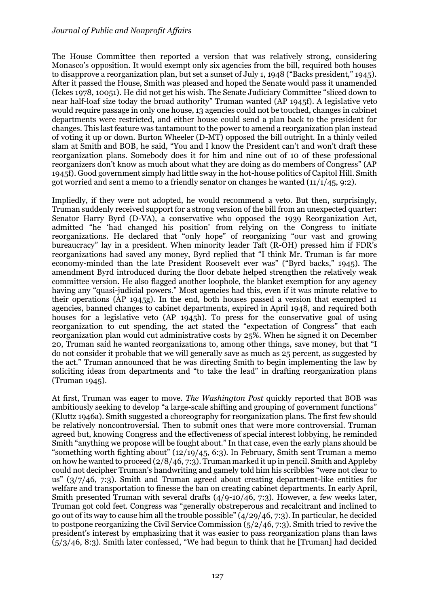The House Committee then reported a version that was relatively strong, considering Monasco's opposition. It would exempt only six agencies from the bill, required both houses to disapprove a reorganization plan, but set a sunset of July 1, 1948 ("Backs president," 1945). After it passed the House, Smith was pleased and hoped the Senate would pass it unamended (Ickes 1978, 10051). He did not get his wish. The Senate Judiciary Committee "sliced down to near half-loaf size today the broad authority" Truman wanted (AP 1945f). A legislative veto would require passage in only one house, 13 agencies could not be touched, changes in cabinet departments were restricted, and either house could send a plan back to the president for changes. This last feature was tantamount to the power to amend a reorganization plan instead of voting it up or down. Burton Wheeler (D-MT) opposed the bill outright. In a thinly veiled slam at Smith and BOB, he said, "You and I know the President can't and won't draft these reorganization plans. Somebody does it for him and nine out of 10 of these professional reorganizers don't know as much about what they are doing as do members of Congress" (AP 1945f). Good government simply had little sway in the hot-house politics of Capitol Hill. Smith got worried and sent a memo to a friendly senator on changes he wanted  $(11/1/45, 9:2)$ .

Impliedly, if they were not adopted, he would recommend a veto. But then, surprisingly, Truman suddenly received support for a strong version of the bill from an unexpected quarter: Senator Harry Byrd (D-VA), a conservative who opposed the 1939 Reorganization Act, admitted "he 'had changed his position' from relying on the Congress to initiate reorganizations. He declared that "only hope" of reorganizing "our vast and growing bureaucracy" lay in a president. When minority leader Taft (R-OH) pressed him if FDR's reorganizations had saved any money, Byrd replied that "I think Mr. Truman is far more economy-minded than the late President Roosevelt ever was" ("Byrd backs," 1945). The amendment Byrd introduced during the floor debate helped strengthen the relatively weak committee version. He also flagged another loophole, the blanket exemption for any agency having any "quasi-judicial powers." Most agencies had this, even if it was minute relative to their operations (AP 1945g). In the end, both houses passed a version that exempted 11 agencies, banned changes to cabinet departments, expired in April 1948, and required both houses for a legislative veto (AP 1945h). To press for the conservative goal of using reorganization to cut spending, the act stated the "expectation of Congress" that each reorganization plan would cut administrative costs by 25%. When he signed it on December 20, Truman said he wanted reorganizations to, among other things, save money, but that "I do not consider it probable that we will generally save as much as 25 percent, as suggested by the act." Truman announced that he was directing Smith to begin implementing the law by soliciting ideas from departments and "to take the lead" in drafting reorganization plans (Truman 1945).

At first, Truman was eager to move. *The Washington Post* quickly reported that BOB was ambitiously seeking to develop "a large-scale shifting and grouping of government functions" (Kluttz 1946a). Smith suggested a choreography for reorganization plans. The first few should be relatively noncontroversial. Then to submit ones that were more controversial. Truman agreed but, knowing Congress and the effectiveness of special interest lobbying, he reminded Smith "anything we propose will be fought about." In that case, even the early plans should be "something worth fighting about"  $(12/19/45, 6:3)$ . In February, Smith sent Truman a memo on how he wanted to proceed (2/8/46, 7:3). Truman marked it up in pencil. Smith and Appleby could not decipher Truman's handwriting and gamely told him his scribbles "were not clear to us" (3/7/46, 7:3). Smith and Truman agreed about creating department-like entities for welfare and transportation to finesse the ban on creating cabinet departments. In early April, Smith presented Truman with several drafts (4/9-10/46, 7:3). However, a few weeks later, Truman got cold feet. Congress was "generally obstreperous and recalcitrant and inclined to go out of its way to cause him all the trouble possible" (4/29/46, 7:3). In particular, he decided to postpone reorganizing the Civil Service Commission (5/2/46, 7:3). Smith tried to revive the president's interest by emphasizing that it was easier to pass reorganization plans than laws (5/3/46, 8:3). Smith later confessed, "We had begun to think that he [Truman] had decided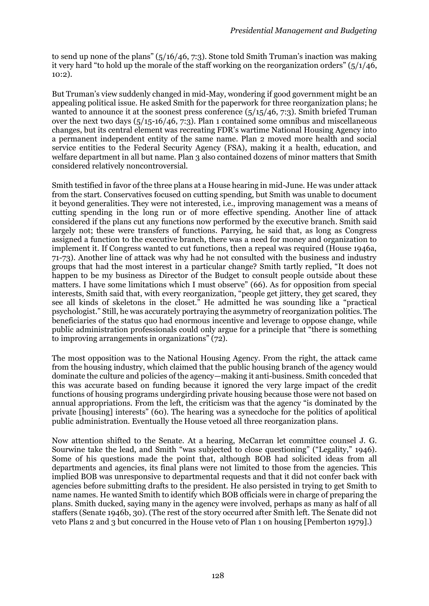to send up none of the plans"  $(5/16/46, 7:3)$ . Stone told Smith Truman's inaction was making it very hard "to hold up the morale of the staff working on the reorganization orders" (5/1/46, 10:2).

But Truman's view suddenly changed in mid-May, wondering if good government might be an appealing political issue. He asked Smith for the paperwork for three reorganization plans; he wanted to announce it at the soonest press conference  $(5/15/46, 7:3)$ . Smith briefed Truman over the next two days  $(5/15-16/46, 7:3)$ . Plan 1 contained some omnibus and miscellaneous changes, but its central element was recreating FDR's wartime National Housing Agency into a permanent independent entity of the same name. Plan 2 moved more health and social service entities to the Federal Security Agency (FSA), making it a health, education, and welfare department in all but name. Plan 3 also contained dozens of minor matters that Smith considered relatively noncontroversial.

Smith testified in favor of the three plans at a House hearing in mid-June. He was under attack from the start. Conservatives focused on cutting spending, but Smith was unable to document it beyond generalities. They were not interested, i.e., improving management was a means of cutting spending in the long run or of more effective spending. Another line of attack considered if the plans cut any functions now performed by the executive branch. Smith said largely not; these were transfers of functions. Parrying, he said that, as long as Congress assigned a function to the executive branch, there was a need for money and organization to implement it. If Congress wanted to cut functions, then a repeal was required (House 1946a, 71-73). Another line of attack was why had he not consulted with the business and industry groups that had the most interest in a particular change? Smith tartly replied, "It does not happen to be my business as Director of the Budget to consult people outside about these matters. I have some limitations which I must observe" (66). As for opposition from special interests, Smith said that, with every reorganization, "people get jittery, they get scared, they see all kinds of skeletons in the closet." He admitted he was sounding like a "practical psychologist." Still, he was accurately portraying the asymmetry of reorganization politics. The beneficiaries of the status quo had enormous incentive and leverage to oppose change, while public administration professionals could only argue for a principle that "there is something to improving arrangements in organizations" (72).

The most opposition was to the National Housing Agency. From the right, the attack came from the housing industry, which claimed that the public housing branch of the agency would dominate the culture and policies of the agency—making it anti-business. Smith conceded that this was accurate based on funding because it ignored the very large impact of the credit functions of housing programs undergirding private housing because those were not based on annual appropriations. From the left, the criticism was that the agency "is dominated by the private [housing] interests" (60). The hearing was a synecdoche for the politics of apolitical public administration. Eventually the House vetoed all three reorganization plans.

Now attention shifted to the Senate. At a hearing, McCarran let committee counsel J. G. Sourwine take the lead, and Smith "was subjected to close questioning" ("Legality," 1946). Some of his questions made the point that, although BOB had solicited ideas from all departments and agencies, its final plans were not limited to those from the agencies. This implied BOB was unresponsive to departmental requests and that it did not confer back with agencies before submitting drafts to the president. He also persisted in trying to get Smith to name names. He wanted Smith to identify which BOB officials were in charge of preparing the plans. Smith ducked, saying many in the agency were involved, perhaps as many as half of all staffers (Senate 1946b, 30). (The rest of the story occurred after Smith left. The Senate did not veto Plans 2 and 3 but concurred in the House veto of Plan 1 on housing [Pemberton 1979].)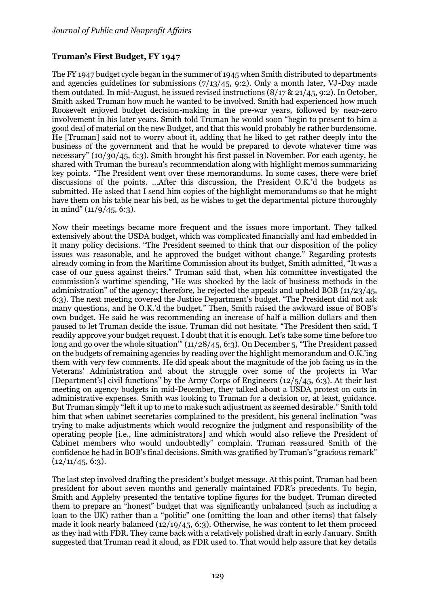## **Truman's First Budget, FY 1947**

The FY 1947 budget cycle began in the summer of 1945 when Smith distributed to departments and agencies guidelines for submissions  $(7/13/45, 9:2)$ . Only a month later, VJ-Day made them outdated. In mid-August, he issued revised instructions (8/17 & 21/45, 9:2). In October, Smith asked Truman how much he wanted to be involved. Smith had experienced how much Roosevelt enjoyed budget decision-making in the pre-war years, followed by near-zero involvement in his later years. Smith told Truman he would soon "begin to present to him a good deal of material on the new Budget, and that this would probably be rather burdensome. He [Truman] said not to worry about it, adding that he liked to get rather deeply into the business of the government and that he would be prepared to devote whatever time was necessary" (10/30/45, 6:3). Smith brought his first passel in November. For each agency, he shared with Truman the bureau's recommendation along with highlight memos summarizing key points. "The President went over these memorandums. In some cases, there were brief discussions of the points. …After this discussion, the President O.K.'d the budgets as submitted. He asked that I send him copies of the highlight memorandums so that he might have them on his table near his bed, as he wishes to get the departmental picture thoroughly in mind"  $(11/9/45, 6:3)$ .

Now their meetings became more frequent and the issues more important. They talked extensively about the USDA budget, which was complicated financially and had embedded in it many policy decisions. "The President seemed to think that our disposition of the policy issues was reasonable, and he approved the budget without change." Regarding protests already coming in from the Maritime Commission about its budget, Smith admitted, "It was a case of our guess against theirs." Truman said that, when his committee investigated the commission's wartime spending, "He was shocked by the lack of business methods in the administration" of the agency; therefore, he rejected the appeals and upheld BOB (11/23/45, 6:3). The next meeting covered the Justice Department's budget. "The President did not ask many questions, and he O.K.'d the budget." Then, Smith raised the awkward issue of BOB's own budget. He said he was recommending an increase of half a million dollars and then paused to let Truman decide the issue. Truman did not hesitate. "The President then said, 'I readily approve your budget request. I doubt that it is enough. Let's take some time before too long and go over the whole situation" (11/28/45, 6:3). On December 5, "The President passed on the budgets of remaining agencies by reading over the highlight memorandum and O.K.'ing them with very few comments. He did speak about the magnitude of the job facing us in the Veterans' Administration and about the struggle over some of the projects in War [Department's] civil functions" by the Army Corps of Engineers (12/5/45, 6:3). At their last meeting on agency budgets in mid-December, they talked about a USDA protest on cuts in administrative expenses. Smith was looking to Truman for a decision or, at least, guidance. But Truman simply "left it up to me to make such adjustment as seemed desirable." Smith told him that when cabinet secretaries complained to the president, his general inclination "was trying to make adjustments which would recognize the judgment and responsibility of the operating people [i.e., line administrators] and which would also relieve the President of Cabinet members who would undoubtedly" complain. Truman reassured Smith of the confidence he had in BOB's final decisions. Smith was gratified by Truman's "gracious remark"  $(12/11/45, 6:3)$ .

The last step involved drafting the president's budget message. At this point, Truman had been president for about seven months and generally maintained FDR's precedents. To begin, Smith and Appleby presented the tentative topline figures for the budget. Truman directed them to prepare an "honest" budget that was significantly unbalanced (such as including a loan to the UK) rather than a "politic" one (omitting the loan and other items) that falsely made it look nearly balanced  $(12/19/45, 6:3)$ . Otherwise, he was content to let them proceed as they had with FDR. They came back with a relatively polished draft in early January. Smith suggested that Truman read it aloud, as FDR used to. That would help assure that key details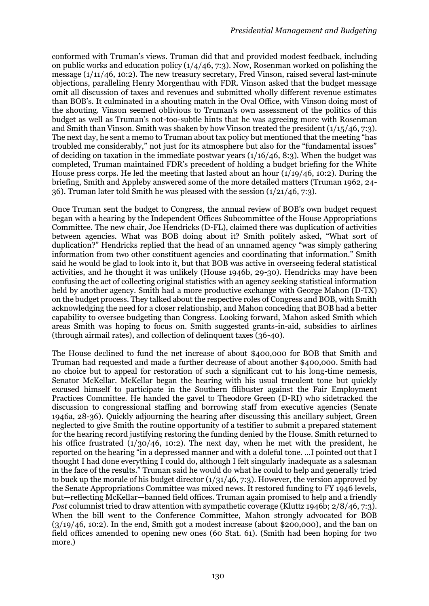conformed with Truman's views. Truman did that and provided modest feedback, including on public works and education policy (1/4/46, 7:3). Now, Rosenman worked on polishing the message (1/11/46, 10:2). The new treasury secretary, Fred Vinson, raised several last-minute objections, paralleling Henry Morgenthau with FDR. Vinson asked that the budget message omit all discussion of taxes and revenues and submitted wholly different revenue estimates than BOB's. It culminated in a shouting match in the Oval Office, with Vinson doing most of the shouting. Vinson seemed oblivious to Truman's own assessment of the politics of this budget as well as Truman's not-too-subtle hints that he was agreeing more with Rosenman and Smith than Vinson. Smith was shaken by how Vinson treated the president (1/15/46, 7:3). The next day, he sent a memo to Truman about tax policy but mentioned that the meeting "has troubled me considerably," not just for its atmosphere but also for the "fundamental issues" of deciding on taxation in the immediate postwar years (1/16/46, 8:3). When the budget was completed, Truman maintained FDR's precedent of holding a budget briefing for the White House press corps. He led the meeting that lasted about an hour (1/19/46, 10:2). During the briefing, Smith and Appleby answered some of the more detailed matters (Truman 1962, 24- 36). Truman later told Smith he was pleased with the session (1/21/46, 7:3).

Once Truman sent the budget to Congress, the annual review of BOB's own budget request began with a hearing by the Independent Offices Subcommittee of the House Appropriations Committee. The new chair, Joe Hendricks (D-FL), claimed there was duplication of activities between agencies. What was BOB doing about it? Smith politely asked, "What sort of duplication?" Hendricks replied that the head of an unnamed agency "was simply gathering information from two other constituent agencies and coordinating that information." Smith said he would be glad to look into it, but that BOB was active in overseeing federal statistical activities, and he thought it was unlikely (House 1946b, 29-30). Hendricks may have been confusing the act of collecting original statistics with an agency seeking statistical information held by another agency. Smith had a more productive exchange with George Mahon (D-TX) on the budget process. They talked about the respective roles of Congress and BOB, with Smith acknowledging the need for a closer relationship, and Mahon conceding that BOB had a better capability to oversee budgeting than Congress. Looking forward, Mahon asked Smith which areas Smith was hoping to focus on. Smith suggested grants-in-aid, subsidies to airlines (through airmail rates), and collection of delinquent taxes (36-40).

The House declined to fund the net increase of about \$400,000 for BOB that Smith and Truman had requested and made a further decrease of about another \$400,000. Smith had no choice but to appeal for restoration of such a significant cut to his long-time nemesis, Senator McKellar. McKellar began the hearing with his usual truculent tone but quickly excused himself to participate in the Southern filibuster against the Fair Employment Practices Committee. He handed the gavel to Theodore Green (D-RI) who sidetracked the discussion to congressional staffing and borrowing staff from executive agencies (Senate 1946a, 28-36). Quickly adjourning the hearing after discussing this ancillary subject, Green neglected to give Smith the routine opportunity of a testifier to submit a prepared statement for the hearing record justifying restoring the funding denied by the House. Smith returned to his office frustrated  $(1/30/46, 10:2)$ . The next day, when he met with the president, he reported on the hearing "in a depressed manner and with a doleful tone. …I pointed out that I thought I had done everything I could do, although I felt singularly inadequate as a salesman in the face of the results." Truman said he would do what he could to help and generally tried to buck up the morale of his budget director  $(1/31/46, 7:3)$ . However, the version approved by the Senate Appropriations Committee was mixed news. It restored funding to FY 1946 levels, but—reflecting McKellar—banned field offices. Truman again promised to help and a friendly *Post* columnist tried to draw attention with sympathetic coverage (Kluttz 1946b; 2/8/46, 7:3). When the bill went to the Conference Committee, Mahon strongly advocated for BOB  $(3/19/46, 10:2)$ . In the end, Smith got a modest increase (about \$200,000), and the ban on field offices amended to opening new ones (60 Stat. 61). (Smith had been hoping for two more.)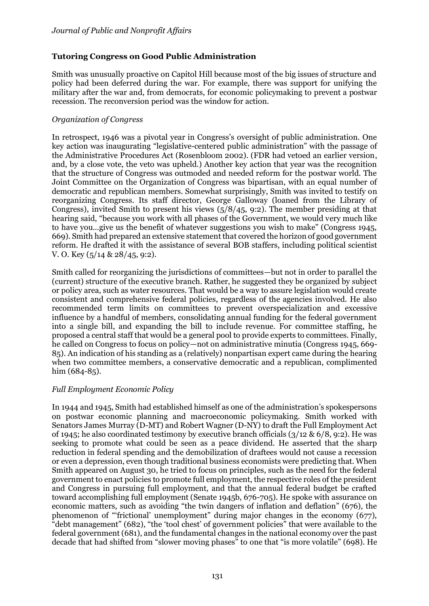## **Tutoring Congress on Good Public Administration**

Smith was unusually proactive on Capitol Hill because most of the big issues of structure and policy had been deferred during the war. For example, there was support for unifying the military after the war and, from democrats, for economic policymaking to prevent a postwar recession. The reconversion period was the window for action.

## *Organization of Congress*

In retrospect, 1946 was a pivotal year in Congress's oversight of public administration. One key action was inaugurating "legislative-centered public administration" with the passage of the Administrative Procedures Act (Rosenbloom 2002). (FDR had vetoed an earlier version, and, by a close vote, the veto was upheld.) Another key action that year was the recognition that the structure of Congress was outmoded and needed reform for the postwar world. The Joint Committee on the Organization of Congress was bipartisan, with an equal number of democratic and republican members. Somewhat surprisingly, Smith was invited to testify on reorganizing Congress. Its staff director, George Galloway (loaned from the Library of Congress), invited Smith to present his views  $(5/8/45, 9:2)$ . The member presiding at that hearing said, "because you work with all phases of the Government, we would very much like to have you…give us the benefit of whatever suggestions you wish to make" (Congress 1945, 669). Smith had prepared an extensive statement that covered the horizon of good government reform. He drafted it with the assistance of several BOB staffers, including political scientist V. O. Key (5/14 & 28/45, 9:2).

Smith called for reorganizing the jurisdictions of committees—but not in order to parallel the (current) structure of the executive branch. Rather, he suggested they be organized by subject or policy area, such as water resources. That would be a way to assure legislation would create consistent and comprehensive federal policies, regardless of the agencies involved. He also recommended term limits on committees to prevent overspecialization and excessive influence by a handful of members, consolidating annual funding for the federal government into a single bill, and expanding the bill to include revenue. For committee staffing, he proposed a central staff that would be a general pool to provide experts to committees. Finally, he called on Congress to focus on policy—not on administrative minutia (Congress 1945, 669- 85). An indication of his standing as a (relatively) nonpartisan expert came during the hearing when two committee members, a conservative democratic and a republican, complimented him (684-85).

## *Full Employment Economic Policy*

In 1944 and 1945, Smith had established himself as one of the administration's spokespersons on postwar economic planning and macroeconomic policymaking. Smith worked with Senators James Murray (D-MT) and Robert Wagner (D-NY) to draft the Full Employment Act of 1945; he also coordinated testimony by executive branch officials (3/12 & 6/8, 9:2). He was seeking to promote what could be seen as a peace dividend. He asserted that the sharp reduction in federal spending and the demobilization of draftees would not cause a recession or even a depression, even though traditional business economists were predicting that. When Smith appeared on August 30, he tried to focus on principles, such as the need for the federal government to enact policies to promote full employment, the respective roles of the president and Congress in pursuing full employment, and that the annual federal budget be crafted toward accomplishing full employment (Senate 1945b, 676-705). He spoke with assurance on economic matters, such as avoiding "the twin dangers of inflation and deflation" (676), the phenomenon of "'frictional' unemployment" during major changes in the economy (677), "debt management" (682), "the 'tool chest' of government policies" that were available to the federal government (681), and the fundamental changes in the national economy over the past decade that had shifted from "slower moving phases" to one that "is more volatile" (698). He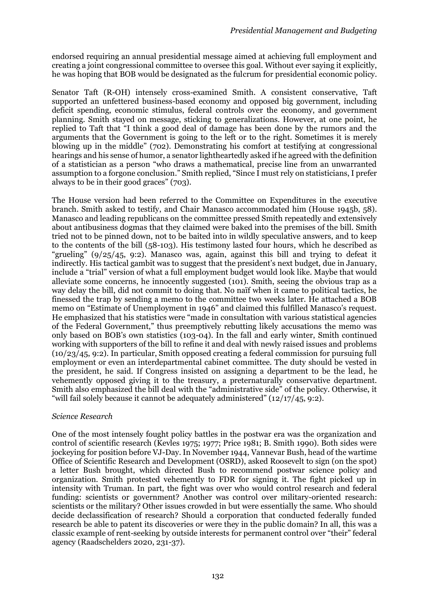endorsed requiring an annual presidential message aimed at achieving full employment and creating a joint congressional committee to oversee this goal. Without ever saying it explicitly, he was hoping that BOB would be designated as the fulcrum for presidential economic policy.

Senator Taft (R-OH) intensely cross-examined Smith. A consistent conservative, Taft supported an unfettered business-based economy and opposed big government, including deficit spending, economic stimulus, federal controls over the economy, and government planning. Smith stayed on message, sticking to generalizations. However, at one point, he replied to Taft that "I think a good deal of damage has been done by the rumors and the arguments that the Government is going to the left or to the right. Sometimes it is merely blowing up in the middle" (702). Demonstrating his comfort at testifying at congressional hearings and his sense of humor, a senator lightheartedly asked if he agreed with the definition of a statistician as a person "who draws a mathematical, precise line from an unwarranted assumption to a forgone conclusion." Smith replied, "Since I must rely on statisticians, I prefer always to be in their good graces" (703).

The House version had been referred to the Committee on Expenditures in the executive branch. Smith asked to testify, and Chair Manasco accommodated him (House 1945b, 58). Manasco and leading republicans on the committee pressed Smith repeatedly and extensively about antibusiness dogmas that they claimed were baked into the premises of the bill. Smith tried not to be pinned down, not to be baited into in wildly speculative answers, and to keep to the contents of the bill (58-103). His testimony lasted four hours, which he described as "grueling"  $(9/25/45, 9:2)$ . Manasco was, again, against this bill and trying to defeat it indirectly. His tactical gambit was to suggest that the president's next budget, due in January, include a "trial" version of what a full employment budget would look like. Maybe that would alleviate some concerns, he innocently suggested (101). Smith, seeing the obvious trap as a way delay the bill, did not commit to doing that. No naïf when it came to political tactics, he finessed the trap by sending a memo to the committee two weeks later. He attached a BOB memo on "Estimate of Unemployment in 1946" and claimed this fulfilled Manasco's request. He emphasized that his statistics were "made in consultation with various statistical agencies of the Federal Government," thus preemptively rebutting likely accusations the memo was only based on BOB's own statistics (103-04). In the fall and early winter, Smith continued working with supporters of the bill to refine it and deal with newly raised issues and problems (10/23/45, 9:2). In particular, Smith opposed creating a federal commission for pursuing full employment or even an interdepartmental cabinet committee. The duty should be vested in the president, he said. If Congress insisted on assigning a department to be the lead, he vehemently opposed giving it to the treasury, a preternaturally conservative department. Smith also emphasized the bill deal with the "administrative side" of the policy. Otherwise, it "will fail solely because it cannot be adequately administered"  $(12/17/45, 9:2)$ .

## *Science Research*

One of the most intensely fought policy battles in the postwar era was the organization and control of scientific research (Kevles 1975; 1977; Price 1981; B. Smith 1990). Both sides were jockeying for position before VJ-Day. In November 1944, Vannevar Bush, head of the wartime Office of Scientific Research and Development (OSRD), asked Roosevelt to sign (on the spot) a letter Bush brought, which directed Bush to recommend postwar science policy and organization. Smith protested vehemently to FDR for signing it. The fight picked up in intensity with Truman. In part, the fight was over who would control research and federal funding: scientists or government? Another was control over military-oriented research: scientists or the military? Other issues crowded in but were essentially the same. Who should decide declassification of research? Should a corporation that conducted federally funded research be able to patent its discoveries or were they in the public domain? In all, this was a classic example of rent-seeking by outside interests for permanent control over "their" federal agency (Raadschelders 2020, 231-37).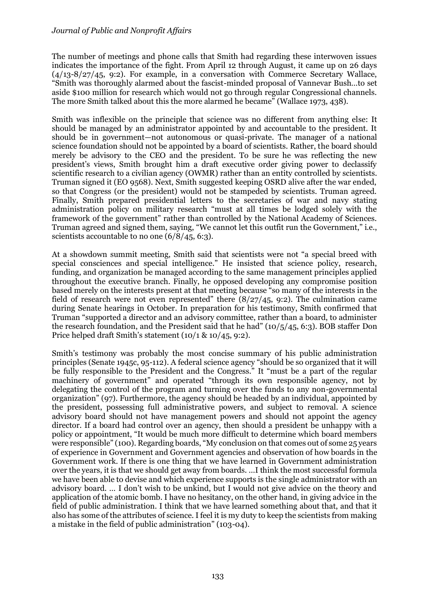## *Journal of Public and Nonprofit Affairs*

The number of meetings and phone calls that Smith had regarding these interwoven issues indicates the importance of the fight. From April 12 through August, it came up on 26 days (4/13-8/27/45, 9:2). For example, in a conversation with Commerce Secretary Wallace, "Smith was thoroughly alarmed about the fascist-minded proposal of Vannevar Bush…to set aside \$100 million for research which would not go through regular Congressional channels. The more Smith talked about this the more alarmed he became" (Wallace 1973, 438).

Smith was inflexible on the principle that science was no different from anything else: It should be managed by an administrator appointed by and accountable to the president. It should be in government—not autonomous or quasi-private. The manager of a national science foundation should not be appointed by a board of scientists. Rather, the board should merely be advisory to the CEO and the president. To be sure he was reflecting the new president's views, Smith brought him a draft executive order giving power to declassify scientific research to a civilian agency (OWMR) rather than an entity controlled by scientists. Truman signed it (EO 9568). Next, Smith suggested keeping OSRD alive after the war ended, so that Congress (or the president) would not be stampeded by scientists. Truman agreed. Finally, Smith prepared presidential letters to the secretaries of war and navy stating administration policy on military research "must at all times be lodged solely with the framework of the government" rather than controlled by the National Academy of Sciences. Truman agreed and signed them, saying, "We cannot let this outfit run the Government," i.e., scientists accountable to no one  $(6/8/45, 6:3)$ .

At a showdown summit meeting, Smith said that scientists were not "a special breed with special consciences and special intelligence." He insisted that science policy, research, funding, and organization be managed according to the same management principles applied throughout the executive branch. Finally, he opposed developing any compromise position based merely on the interests present at that meeting because "so many of the interests in the field of research were not even represented" there  $(8/27/45, 9:2)$ . The culmination came during Senate hearings in October. In preparation for his testimony, Smith confirmed that Truman "supported a director and an advisory committee, rather than a board, to administer the research foundation, and the President said that he had" (10/5/45, 6:3). BOB staffer Don Price helped draft Smith's statement (10/1 & 10/45, 9:2).

Smith's testimony was probably the most concise summary of his public administration principles (Senate 1945c, 95-112). A federal science agency "should be so organized that it will be fully responsible to the President and the Congress." It "must be a part of the regular machinery of government" and operated "through its own responsible agency, not by delegating the control of the program and turning over the funds to any non-governmental organization" (97). Furthermore, the agency should be headed by an individual, appointed by the president, possessing full administrative powers, and subject to removal. A science advisory board should not have management powers and should not appoint the agency director. If a board had control over an agency, then should a president be unhappy with a policy or appointment, "It would be much more difficult to determine which board members were responsible" (100). Regarding boards, "My conclusion on that comes out of some 25 years of experience in Government and Government agencies and observation of how boards in the Government work. If there is one thing that we have learned in Government administration over the years, it is that we should get away from boards. …I think the most successful formula we have been able to devise and which experience supports is the single administrator with an advisory board. … I don't wish to be unkind, but I would not give advice on the theory and application of the atomic bomb. I have no hesitancy, on the other hand, in giving advice in the field of public administration. I think that we have learned something about that, and that it also has some of the attributes of science. I feel it is my duty to keep the scientists from making a mistake in the field of public administration" (103-04).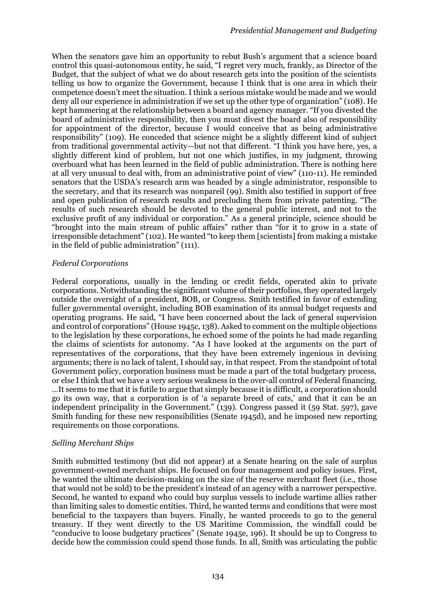When the senators gave him an opportunity to rebut Bush's argument that a science board control this quasi-autonomous entity, he said, "I regret very much, frankly, as Director of the Budget, that the subject of what we do about research gets into the position of the scientists telling us how to organize the Government, because I think that is one area in which their competence doesn't meet the situation. I think a serious mistake would be made and we would deny all our experience in administration if we set up the other type of organization" (108). He kept hammering at the relationship between a board and agency manager. "If you divested the board of administrative responsibility, then you must divest the board also of responsibility for appointment of the director, because I would conceive that as being administrative responsibility" (109). He conceded that science might be a slightly different kind of subject from traditional governmental activity—but not that different. "I think you have here, yes, a slightly different kind of problem, but not one which justifies, in my judgment, throwing overboard what has been learned in the field of public administration. There is nothing here at all very unusual to deal with, from an administrative point of view" (110-11). He reminded senators that the USDA's research arm was headed by a single administrator, responsible to the secretary, and that its research was nonpareil (99). Smith also testified in support of free and open publication of research results and precluding them from private patenting. "The results of such research should be devoted to the general public interest, and not to the exclusive profit of any individual or corporation." As a general principle, science should be "brought into the main stream of public affairs" rather than "for it to grow in a state of irresponsible detachment" (102). He wanted "to keep them [scientists] from making a mistake in the field of public administration" (111).

## *Federal Corporations*

Federal corporations, usually in the lending or credit fields, operated akin to private corporations. Notwithstanding the significant volume of their portfolios, they operated largely outside the oversight of a president, BOB, or Congress. Smith testified in favor of extending fuller governmental oversight, including BOB examination of its annual budget requests and operating programs. He said, "I have been concerned about the lack of general supervision and control of corporations" (House 1945c, 138). Asked to comment on the multiple objections to the legislation by these corporations, he echoed some of the points he had made regarding the claims of scientists for autonomy. "As I have looked at the arguments on the part of representatives of the corporations, that they have been extremely ingenious in devising arguments; there is no lack of talent, I should say, in that respect. From the standpoint of total Government policy, corporation business must be made a part of the total budgetary process, or else I think that we have a very serious weakness in the over-all control of Federal financing. …It seems to me that it is futile to argue that simply because it is difficult, a corporation should go its own way, that a corporation is of 'a separate breed of cats,' and that it can be an independent principality in the Government." (139). Congress passed it (59 Stat. 597), gave Smith funding for these new responsibilities (Senate 1945d), and he imposed new reporting requirements on those corporations.

# *Selling Merchant Ships*

Smith submitted testimony (but did not appear) at a Senate hearing on the sale of surplus government-owned merchant ships. He focused on four management and policy issues. First, he wanted the ultimate decision-making on the size of the reserve merchant fleet (i.e., those that would not be sold) to be the president's instead of an agency with a narrower perspective. Second, he wanted to expand who could buy surplus vessels to include wartime allies rather than limiting sales to domestic entities. Third, he wanted terms and conditions that were most beneficial to the taxpayers than buyers. Finally, he wanted proceeds to go to the general treasury. If they went directly to the US Maritime Commission, the windfall could be "conducive to loose budgetary practices" (Senate 1945e, 196). It should be up to Congress to decide how the commission could spend those funds. In all, Smith was articulating the public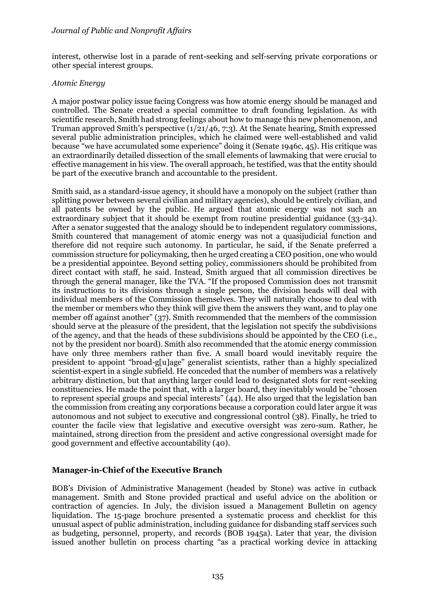interest, otherwise lost in a parade of rent-seeking and self-serving private corporations or other special interest groups.

#### *Atomic Energy*

A major postwar policy issue facing Congress was how atomic energy should be managed and controlled. The Senate created a special committee to draft founding legislation. As with scientific research, Smith had strong feelings about how to manage this new phenomenon, and Truman approved Smith's perspective (1/21/46, 7:3). At the Senate hearing, Smith expressed several public administration principles, which he claimed were well-established and valid because "we have accumulated some experience" doing it (Senate 1946c, 45). His critique was an extraordinarily detailed dissection of the small elements of lawmaking that were crucial to effective management in his view. The overall approach, he testified, was that the entity should be part of the executive branch and accountable to the president.

Smith said, as a standard-issue agency, it should have a monopoly on the subject (rather than splitting power between several civilian and military agencies), should be entirely civilian, and all patents be owned by the public. He argued that atomic energy was not such an extraordinary subject that it should be exempt from routine presidential guidance (33-34). After a senator suggested that the analogy should be to independent regulatory commissions, Smith countered that management of atomic energy was not a quasijudicial function and therefore did not require such autonomy. In particular, he said, if the Senate preferred a commission structure for policymaking, then he urged creating a CEO position, one who would be a presidential appointee. Beyond setting policy, commissioners should be prohibited from direct contact with staff, he said. Instead, Smith argued that all commission directives be through the general manager, like the TVA. "If the proposed Commission does not transmit its instructions to its divisions through a single person, the division heads will deal with individual members of the Commission themselves. They will naturally choose to deal with the member or members who they think will give them the answers they want, and to play one member off against another" (37). Smith recommended that the members of the commission should serve at the pleasure of the president, that the legislation not specify the subdivisions of the agency, and that the heads of these subdivisions should be appointed by the CEO (i.e., not by the president nor board). Smith also recommended that the atomic energy commission have only three members rather than five. A small board would inevitably require the president to appoint "broad-g[u]age" generalist scientists, rather than a highly specialized scientist-expert in a single subfield. He conceded that the number of members was a relatively arbitrary distinction, but that anything larger could lead to designated slots for rent-seeking constituencies. He made the point that, with a larger board, they inevitably would be "chosen to represent special groups and special interests" (44). He also urged that the legislation ban the commission from creating any corporations because a corporation could later argue it was autonomous and not subject to executive and congressional control (38). Finally, he tried to counter the facile view that legislative and executive oversight was zero-sum. Rather, he maintained, strong direction from the president and active congressional oversight made for good government and effective accountability (40).

## **Manager-in-Chief of the Executive Branch**

BOB's Division of Administrative Management (headed by Stone) was active in cutback management. Smith and Stone provided practical and useful advice on the abolition or contraction of agencies. In July, the division issued a Management Bulletin on agency liquidation. The 15-page brochure presented a systematic process and checklist for this unusual aspect of public administration, including guidance for disbanding staff services such as budgeting, personnel, property, and records (BOB 1945a). Later that year, the division issued another bulletin on process charting "as a practical working device in attacking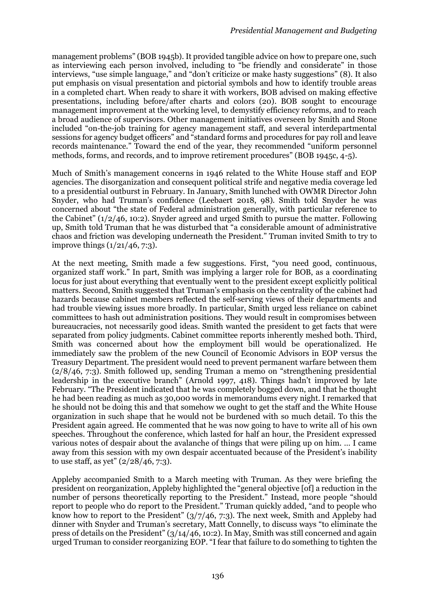management problems" (BOB 1945b). It provided tangible advice on how to prepare one, such as interviewing each person involved, including to "be friendly and considerate" in those interviews, "use simple language," and "don't criticize or make hasty suggestions" (8). It also put emphasis on visual presentation and pictorial symbols and how to identify trouble areas in a completed chart. When ready to share it with workers, BOB advised on making effective presentations, including before/after charts and colors (20). BOB sought to encourage management improvement at the working level, to demystify efficiency reforms, and to reach a broad audience of supervisors. Other management initiatives overseen by Smith and Stone included "on-the-job training for agency management staff, and several interdepartmental sessions for agency budget officers" and "standard forms and procedures for pay roll and leave records maintenance." Toward the end of the year, they recommended "uniform personnel methods, forms, and records, and to improve retirement procedures" (BOB 1945c, 4-5).

Much of Smith's management concerns in 1946 related to the White House staff and EOP agencies. The disorganization and consequent political strife and negative media coverage led to a presidential outburst in February. In January, Smith lunched with OWMR Director John Snyder, who had Truman's confidence (Leebaert 2018, 98). Smith told Snyder he was concerned about "the state of Federal administration generally, with particular reference to the Cabinet" (1/2/46, 10:2). Snyder agreed and urged Smith to pursue the matter. Following up, Smith told Truman that he was disturbed that "a considerable amount of administrative chaos and friction was developing underneath the President." Truman invited Smith to try to improve things (1/21/46, 7:3).

At the next meeting, Smith made a few suggestions. First, "you need good, continuous, organized staff work." In part, Smith was implying a larger role for BOB, as a coordinating locus for just about everything that eventually went to the president except explicitly political matters. Second, Smith suggested that Truman's emphasis on the centrality of the cabinet had hazards because cabinet members reflected the self-serving views of their departments and had trouble viewing issues more broadly. In particular, Smith urged less reliance on cabinet committees to hash out administration positions. They would result in compromises between bureaucracies, not necessarily good ideas. Smith wanted the president to get facts that were separated from policy judgments. Cabinet committee reports inherently meshed both. Third, Smith was concerned about how the employment bill would be operationalized. He immediately saw the problem of the new Council of Economic Advisors in EOP versus the Treasury Department. The president would need to prevent permanent warfare between them (2/8/46, 7:3). Smith followed up, sending Truman a memo on "strengthening presidential leadership in the executive branch" (Arnold 1997, 418). Things hadn't improved by late February. "The President indicated that he was completely bogged down, and that he thought he had been reading as much as 30,000 words in memorandums every night. I remarked that he should not be doing this and that somehow we ought to get the staff and the White House organization in such shape that he would not be burdened with so much detail. To this the President again agreed. He commented that he was now going to have to write all of his own speeches. Throughout the conference, which lasted for half an hour, the President expressed various notes of despair about the avalanche of things that were piling up on him. … I came away from this session with my own despair accentuated because of the President's inability to use staff, as yet"  $(2/28/46, 7:3)$ .

Appleby accompanied Smith to a March meeting with Truman. As they were briefing the president on reorganization, Appleby highlighted the "general objective [of] a reduction in the number of persons theoretically reporting to the President." Instead, more people "should report to people who do report to the President." Truman quickly added, "and to people who know how to report to the President" (3/7/46, 7:3). The next week, Smith and Appleby had dinner with Snyder and Truman's secretary, Matt Connelly, to discuss ways "to eliminate the press of details on the President" (3/14/46, 10:2). In May, Smith was still concerned and again urged Truman to consider reorganizing EOP. "I fear that failure to do something to tighten the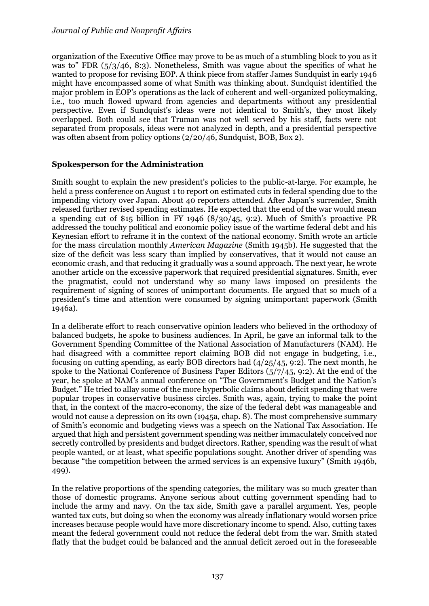organization of the Executive Office may prove to be as much of a stumbling block to you as it was to" FDR  $(5/3/46, 8:3)$ . Nonetheless, Smith was vague about the specifics of what he wanted to propose for revising EOP. A think piece from staffer James Sundquist in early 1946 might have encompassed some of what Smith was thinking about. Sundquist identified the major problem in EOP's operations as the lack of coherent and well-organized policymaking, i.e., too much flowed upward from agencies and departments without any presidential perspective. Even if Sundquist's ideas were not identical to Smith's, they most likely overlapped. Both could see that Truman was not well served by his staff, facts were not separated from proposals, ideas were not analyzed in depth, and a presidential perspective was often absent from policy options (2/20/46, Sundquist, BOB, Box 2).

## **Spokesperson for the Administration**

Smith sought to explain the new president's policies to the public-at-large. For example, he held a press conference on August 1 to report on estimated cuts in federal spending due to the impending victory over Japan. About 40 reporters attended. After Japan's surrender, Smith released further revised spending estimates. He expected that the end of the war would mean a spending cut of \$15 billion in FY 1946  $(8/30/45, 9:2)$ . Much of Smith's proactive PR addressed the touchy political and economic policy issue of the wartime federal debt and his Keynesian effort to reframe it in the context of the national economy. Smith wrote an article for the mass circulation monthly *American Magazine* (Smith 1945b). He suggested that the size of the deficit was less scary than implied by conservatives, that it would not cause an economic crash, and that reducing it gradually was a sound approach. The next year, he wrote another article on the excessive paperwork that required presidential signatures. Smith, ever the pragmatist, could not understand why so many laws imposed on presidents the requirement of signing of scores of unimportant documents. He argued that so much of a president's time and attention were consumed by signing unimportant paperwork (Smith 1946a).

In a deliberate effort to reach conservative opinion leaders who believed in the orthodoxy of balanced budgets, he spoke to business audiences. In April, he gave an informal talk to the Government Spending Committee of the National Association of Manufacturers (NAM). He had disagreed with a committee report claiming BOB did not engage in budgeting, i.e., focusing on cutting spending, as early BOB directors had (4/25/45, 9:2). The next month, he spoke to the National Conference of Business Paper Editors (5/7/45, 9:2). At the end of the year, he spoke at NAM's annual conference on "The Government's Budget and the Nation's Budget." He tried to allay some of the more hyperbolic claims about deficit spending that were popular tropes in conservative business circles. Smith was, again, trying to make the point that, in the context of the macro-economy, the size of the federal debt was manageable and would not cause a depression on its own (1945a, chap. 8). The most comprehensive summary of Smith's economic and budgeting views was a speech on the National Tax Association. He argued that high and persistent government spending was neither immaculately conceived nor secretly controlled by presidents and budget directors. Rather, spending was the result of what people wanted, or at least, what specific populations sought. Another driver of spending was because "the competition between the armed services is an expensive luxury" (Smith 1946b, 499).

In the relative proportions of the spending categories, the military was so much greater than those of domestic programs. Anyone serious about cutting government spending had to include the army and navy. On the tax side, Smith gave a parallel argument. Yes, people wanted tax cuts, but doing so when the economy was already inflationary would worsen price increases because people would have more discretionary income to spend. Also, cutting taxes meant the federal government could not reduce the federal debt from the war. Smith stated flatly that the budget could be balanced and the annual deficit zeroed out in the foreseeable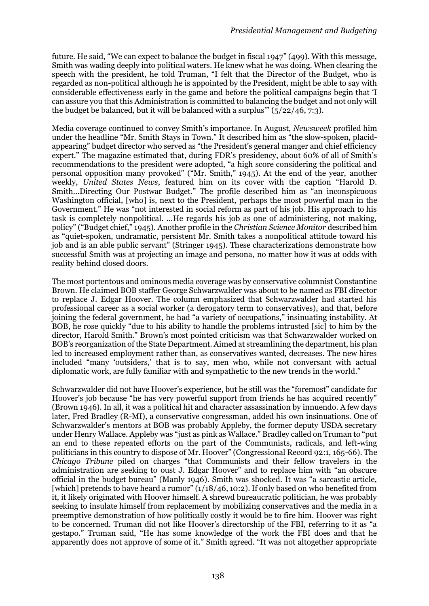future. He said, "We can expect to balance the budget in fiscal 1947" (499). With this message, Smith was wading deeply into political waters. He knew what he was doing. When clearing the speech with the president, he told Truman, "I felt that the Director of the Budget, who is regarded as non-political although he is appointed by the President, might be able to say with considerable effectiveness early in the game and before the political campaigns begin that 'I can assure you that this Administration is committed to balancing the budget and not only will the budget be balanced, but it will be balanced with a surplus"  $(5/22/46, 7:3)$ .

Media coverage continued to convey Smith's importance. In August, *Newsweek* profiled him under the headline "Mr. Smith Stays in Town." It described him as "the slow-spoken, placidappearing" budget director who served as "the President's general manger and chief efficiency expert." The magazine estimated that, during FDR's presidency, about 60% of all of Smith's recommendations to the president were adopted, "a high score considering the political and personal opposition many provoked" ("Mr. Smith," 1945). At the end of the year, another weekly, *United States News*, featured him on its cover with the caption "Harold D. Smith…Directing Our Postwar Budget." The profile described him as "an inconspicuous Washington official, [who] is, next to the President, perhaps the most powerful man in the Government." He was "not interested in social reform as part of his job. His approach to his task is completely nonpolitical. …He regards his job as one of administering, not making, policy" ("Budget chief," 1945). Another profile in the *Christian Science Monitor* described him as "quiet-spoken, undramatic, persistent Mr. Smith takes a nonpolitical attitude toward his job and is an able public servant" (Stringer 1945). These characterizations demonstrate how successful Smith was at projecting an image and persona, no matter how it was at odds with reality behind closed doors.

The most portentous and ominous media coverage was by conservative columnist Constantine Brown. He claimed BOB staffer George Schwarzwalder was about to be named as FBI director to replace J. Edgar Hoover. The column emphasized that Schwarzwalder had started his professional career as a social worker (a derogatory term to conservatives), and that, before joining the federal government, he had "a variety of occupations," insinuating instability. At BOB, he rose quickly "due to his ability to handle the problems intrusted [sic] to him by the director, Harold Smith." Brown's most pointed criticism was that Schwarzwalder worked on BOB's reorganization of the State Department. Aimed at streamlining the department, his plan led to increased employment rather than, as conservatives wanted, decreases. The new hires included "many 'outsiders,' that is to say, men who, while not conversant with actual diplomatic work, are fully familiar with and sympathetic to the new trends in the world."

Schwarzwalder did not have Hoover's experience, but he still was the "foremost" candidate for Hoover's job because "he has very powerful support from friends he has acquired recently" (Brown 1946). In all, it was a political hit and character assassination by innuendo. A few days later, Fred Bradley (R-MI), a conservative congressman, added his own insinuations. One of Schwarzwalder's mentors at BOB was probably Appleby, the former deputy USDA secretary under Henry Wallace. Appleby was "just as pink as Wallace." Bradley called on Truman to "put an end to these repeated efforts on the part of the Communists, radicals, and left-wing politicians in this country to dispose of Mr. Hoover" (Congressional Record 92:1, 165-66). The *Chicago Tribune* piled on charges "that Communists and their fellow travelers in the administration are seeking to oust J. Edgar Hoover" and to replace him with "an obscure official in the budget bureau" (Manly 1946). Smith was shocked. It was "a sarcastic article, [which] pretends to have heard a rumor"  $(1/18/46, 10:2)$ . If only based on who benefited from it, it likely originated with Hoover himself. A shrewd bureaucratic politician, he was probably seeking to insulate himself from replacement by mobilizing conservatives and the media in a preemptive demonstration of how politically costly it would be to fire him. Hoover was right to be concerned. Truman did not like Hoover's directorship of the FBI, referring to it as "a gestapo." Truman said, "He has some knowledge of the work the FBI does and that he apparently does not approve of some of it." Smith agreed. "It was not altogether appropriate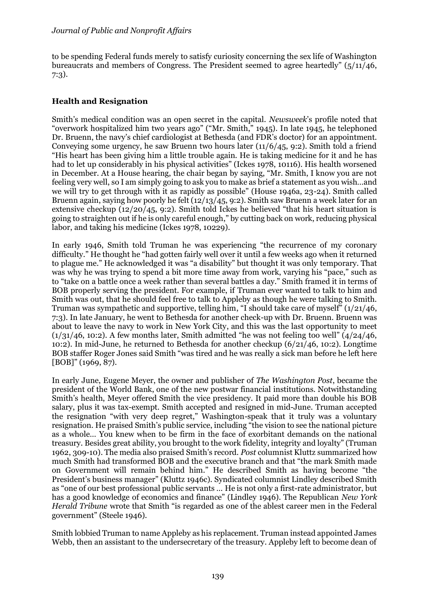to be spending Federal funds merely to satisfy curiosity concerning the sex life of Washington bureaucrats and members of Congress. The President seemed to agree heartedly"  $(5/11/46,$ 7:3).

# **Health and Resignation**

Smith's medical condition was an open secret in the capital. *Newsweek*'s profile noted that "overwork hospitalized him two years ago" ("Mr. Smith," 1945). In late 1945, he telephoned Dr. Bruenn, the navy's chief cardiologist at Bethesda (and FDR's doctor) for an appointment. Conveying some urgency, he saw Bruenn two hours later (11/6/45, 9:2). Smith told a friend "His heart has been giving him a little trouble again. He is taking medicine for it and he has had to let up considerably in his physical activities" (Ickes 1978, 10116). His health worsened in December. At a House hearing, the chair began by saying, "Mr. Smith, I know you are not feeling very well, so I am simply going to ask you to make as brief a statement as you wish…and we will try to get through with it as rapidly as possible" (House 1946a, 23-24). Smith called Bruenn again, saying how poorly he felt (12/13/45, 9:2). Smith saw Bruenn a week later for an extensive checkup  $(12/20/45, 9:2)$ . Smith told Ickes he believed "that his heart situation is going to straighten out if he is only careful enough," by cutting back on work, reducing physical labor, and taking his medicine (Ickes 1978, 10229).

In early 1946, Smith told Truman he was experiencing "the recurrence of my coronary difficulty." He thought he "had gotten fairly well over it until a few weeks ago when it returned to plague me." He acknowledged it was "a disability" but thought it was only temporary. That was why he was trying to spend a bit more time away from work, varying his "pace," such as to "take on a battle once a week rather than several battles a day." Smith framed it in terms of BOB properly serving the president. For example, if Truman ever wanted to talk to him and Smith was out, that he should feel free to talk to Appleby as though he were talking to Smith. Truman was sympathetic and supportive, telling him, "I should take care of myself" (1/21/46, 7:3). In late January, he went to Bethesda for another check-up with Dr. Bruenn. Bruenn was about to leave the navy to work in New York City, and this was the last opportunity to meet  $(1/31/46, 10:2)$ . A few months later, Smith admitted "he was not feeling too well"  $(4/24/46, 10:2)$ 10:2). In mid-June, he returned to Bethesda for another checkup (6/21/46, 10:2). Longtime BOB staffer Roger Jones said Smith "was tired and he was really a sick man before he left here [BOB]" (1969, 87).

In early June, Eugene Meyer, the owner and publisher of *The Washington Post*, became the president of the World Bank, one of the new postwar financial institutions. Notwithstanding Smith's health, Meyer offered Smith the vice presidency. It paid more than double his BOB salary, plus it was tax-exempt. Smith accepted and resigned in mid-June. Truman accepted the resignation "with very deep regret," Washington-speak that it truly was a voluntary resignation. He praised Smith's public service, including "the vision to see the national picture as a whole… You knew when to be firm in the face of exorbitant demands on the national treasury. Besides great ability, you brought to the work fidelity, integrity and loyalty" (Truman 1962, 309-10). The media also praised Smith's record. *Post* columnist Kluttz summarized how much Smith had transformed BOB and the executive branch and that "the mark Smith made on Government will remain behind him." He described Smith as having become "the President's business manager" (Kluttz 1946c). Syndicated columnist Lindley described Smith as "one of our best professional public servants … He is not only a first-rate administrator, but has a good knowledge of economics and finance" (Lindley 1946). The Republican *New York Herald Tribune* wrote that Smith "is regarded as one of the ablest career men in the Federal government" (Steele 1946).

Smith lobbied Truman to name Appleby as his replacement. Truman instead appointed James Webb, then an assistant to the undersecretary of the treasury. Appleby left to become dean of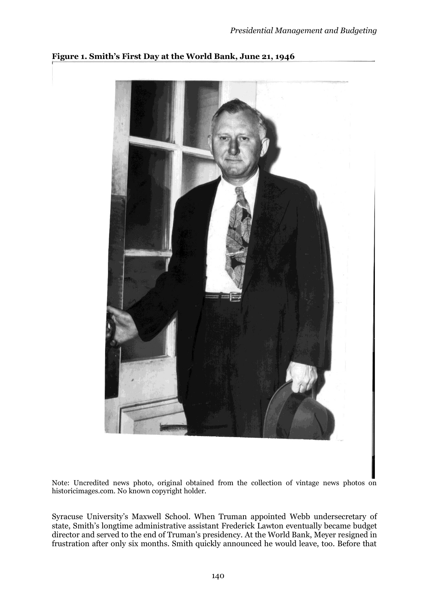

## **Figure 1. Smith's First Day at the World Bank, June 21, 1946**

Note: Uncredited news photo, original obtained from the collection of vintage news photos on historicimages.com. No known copyright holder.

Syracuse University's Maxwell School. When Truman appointed Webb undersecretary of state, Smith's longtime administrative assistant Frederick Lawton eventually became budget director and served to the end of Truman's presidency. At the World Bank, Meyer resigned in frustration after only six months. Smith quickly announced he would leave, too. Before that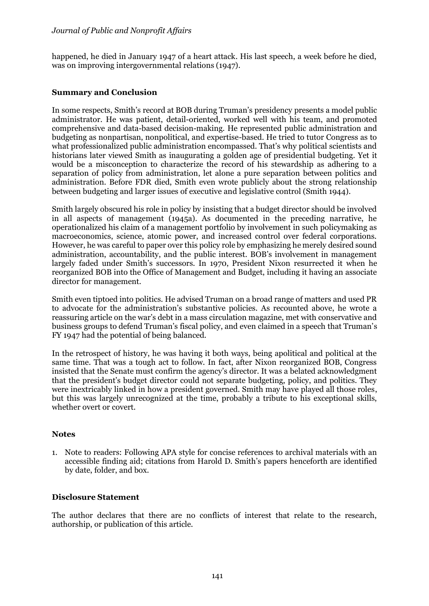happened, he died in January 1947 of a heart attack. His last speech, a week before he died, was on improving intergovernmental relations (1947).

## **Summary and Conclusion**

In some respects, Smith's record at BOB during Truman's presidency presents a model public administrator. He was patient, detail-oriented, worked well with his team, and promoted comprehensive and data-based decision-making. He represented public administration and budgeting as nonpartisan, nonpolitical, and expertise-based. He tried to tutor Congress as to what professionalized public administration encompassed. That's why political scientists and historians later viewed Smith as inaugurating a golden age of presidential budgeting. Yet it would be a misconception to characterize the record of his stewardship as adhering to a separation of policy from administration, let alone a pure separation between politics and administration. Before FDR died, Smith even wrote publicly about the strong relationship between budgeting and larger issues of executive and legislative control (Smith 1944).

Smith largely obscured his role in policy by insisting that a budget director should be involved in all aspects of management (1945a). As documented in the preceding narrative, he operationalized his claim of a management portfolio by involvement in such policymaking as macroeconomics, science, atomic power, and increased control over federal corporations. However, he was careful to paper over this policy role by emphasizing he merely desired sound administration, accountability, and the public interest. BOB's involvement in management largely faded under Smith's successors. In 1970, President Nixon resurrected it when he reorganized BOB into the Office of Management and Budget, including it having an associate director for management.

Smith even tiptoed into politics. He advised Truman on a broad range of matters and used PR to advocate for the administration's substantive policies. As recounted above, he wrote a reassuring article on the war's debt in a mass circulation magazine, met with conservative and business groups to defend Truman's fiscal policy, and even claimed in a speech that Truman's FY 1947 had the potential of being balanced.

In the retrospect of history, he was having it both ways, being apolitical and political at the same time. That was a tough act to follow. In fact, after Nixon reorganized BOB, Congress insisted that the Senate must confirm the agency's director. It was a belated acknowledgment that the president's budget director could not separate budgeting, policy, and politics. They were inextricably linked in how a president governed. Smith may have played all those roles, but this was largely unrecognized at the time, probably a tribute to his exceptional skills, whether overt or covert.

## **Notes**

1. Note to readers: Following APA style for concise references to archival materials with an accessible finding aid; citations from Harold D. Smith's papers henceforth are identified by date, folder, and box.

## **Disclosure Statement**

The author declares that there are no conflicts of interest that relate to the research, authorship, or publication of this article.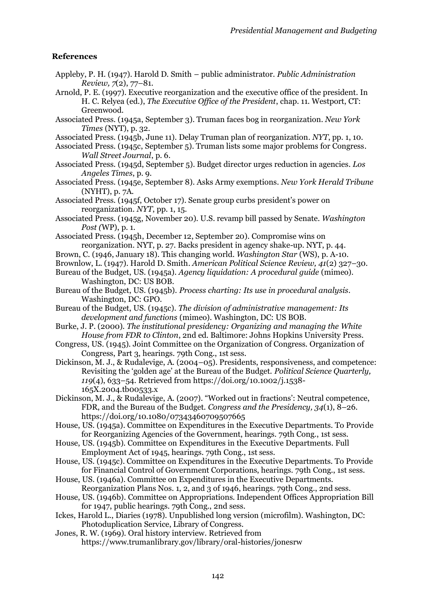## **References**

- Appleby, P. H. (1947). Harold D. Smith public administrator. *Public Administration Review, 7*(2), 77–81.
- Arnold, P. E. (1997). Executive reorganization and the executive office of the president. In H. C. Relyea (ed.), *The Executive Office of the President*, chap. 11. Westport, CT: Greenwood.
- Associated Press. (1945a, September 3). Truman faces bog in reorganization. *New York Times* (NYT), p. 32.
- Associated Press. (1945b, June 11). Delay Truman plan of reorganization. *NYT*, pp. 1, 10.
- Associated Press. (1945c, September 5). Truman lists some major problems for Congress. *Wall Street Journal*, p. 6.
- Associated Press. (1945d, September 5). Budget director urges reduction in agencies. *Los Angeles Times*, p. 9.
- Associated Press. (1945e, September 8). Asks Army exemptions. *New York Herald Tribune* (NYHT), p. 7A.
- Associated Press. (1945f, October 17). Senate group curbs president's power on reorganization. *NYT*, pp. 1, 15.
- Associated Press. (1945g, November 20). U.S. revamp bill passed by Senate. *Washington Post (*WP), p. 1.
- Associated Press. (1945h, December 12, September 20). Compromise wins on reorganization. NYT, p. 27. Backs president in agency shake-up. NYT, p. 44.
- Brown, C. (1946, January 18). This changing world. *Washington Star* (WS), p. A-10.
- Brownlow, L. (1947). Harold D. Smith. *American Political Science Review, 41*(2) 327–30.
- Bureau of the Budget, US. (1945a). *Agency liquidation: A procedural guide* (mimeo). Washington, DC: US BOB.
- Bureau of the Budget, US. (1945b). *Process charting: Its use in procedural analysis*. Washington, DC: GPO.
- Bureau of the Budget, US. (1945c). *The division of administrative management: Its development and functions* (mimeo). Washington, DC: US BOB.
- Burke, J. P. (2000). *The institutional presidency: Organizing and managing the White House from FDR to Clinton*, 2nd ed. Baltimore: Johns Hopkins University Press.
- Congress, US. (1945). Joint Committee on the Organization of Congress. Organization of Congress, Part 3, hearings. 79th Cong., 1st sess.
- Dickinson, M. J., & Rudalevige, A. (2004–05). Presidents, responsiveness, and competence: Revisiting the 'golden age' at the Bureau of the Budget. *Political Science Quarterly, 119*(4), 633–54. Retrieved from https://doi.org/10.1002/j.1538- 165X.2004.tb00533.x
- Dickinson, M. J., & Rudalevige, A. (2007). "Worked out in fractions': Neutral competence, FDR, and the Bureau of the Budget. *Congress and the Presidency, 34*(1), 8–26. https://doi.org/10.1080/07343460709507665
- House, US. (1945a). Committee on Expenditures in the Executive Departments. To Provide for Reorganizing Agencies of the Government, hearings. 79th Cong., 1st sess.
- House, US. (1945b). Committee on Expenditures in the Executive Departments. Full Employment Act of 1945, hearings. 79th Cong., 1st sess.
- House, US. (1945c). Committee on Expenditures in the Executive Departments. To Provide for Financial Control of Government Corporations, hearings. 79th Cong., 1st sess.
- House, US. (1946a). Committee on Expenditures in the Executive Departments. Reorganization Plans Nos. 1, 2, and 3 of 1946, hearings. 79th Cong., 2nd sess.
- House, US. (1946b). Committee on Appropriations. Independent Offices Appropriation Bill for 1947, public hearings. 79th Cong., 2nd sess.
- Ickes, Harold L., Diaries (1978). Unpublished long version (microfilm). Washington, DC: Photoduplication Service, Library of Congress.
- Jones, R. W. (1969). Oral history interview. Retrieved from https://www.trumanlibrary.gov/library/oral-histories/jonesrw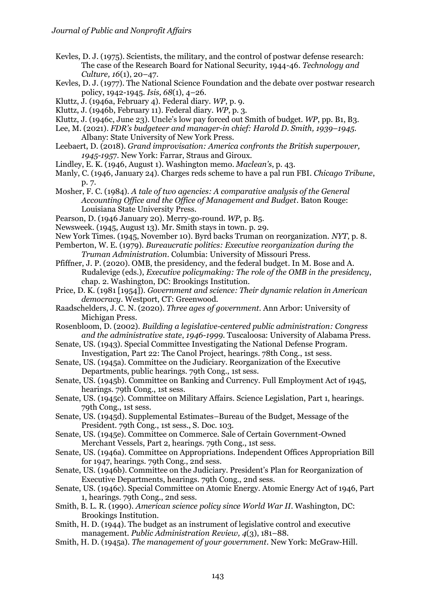- Kevles, D. J. (1975). Scientists, the military, and the control of postwar defense research: The case of the Research Board for National Security, 1944-46. *Technology and Culture, 16*(1), 20–47.
- Kevles, D. J. (1977). The National Science Foundation and the debate over postwar research policy, 1942-1945. *Isis, 68*(1), 4–26.
- Kluttz, J. (1946a, February 4). Federal diary. *WP*, p. 9.
- Kluttz, J. (1946b, February 11). Federal diary. *WP*, p. 3.
- Kluttz, J. (1946c, June 23). Uncle's low pay forced out Smith of budget. *WP*, pp. B1, B3.
- Lee, M. (2021). *FDR's budgeteer and manager-in chief: Harold D. Smith, 1939–1945*. Albany: State University of New York Press.
- Leebaert, D. (2018). *Grand improvisation: America confronts the British superpower, 1945-195*7. New York: Farrar, Straus and Giroux.
- Lindley, E. K. (1946, August 1). Washington memo. *Maclean's*, p. 43.
- Manly, C. (1946, January 24). Charges reds scheme to have a pal run FBI. *Chicago Tribune*, p. 7.
- Mosher, F. C. (1984). *A tale of two agencies: A comparative analysis of the General Accounting Office and the Office of Management and Budget*. Baton Rouge: Louisiana State University Press.
- Pearson, D. (1946 January 20). Merry-go-round. *WP*, p. B5.
- Newsweek. (1945, August 13). Mr. Smith stays in town. p. 29.
- New York Times. (1945, November 10). Byrd backs Truman on reorganization. *NYT*, p. 8.
- Pemberton, W. E. (1979). *Bureaucratic politics: Executive reorganization during the Truman Administration*. Columbia: University of Missouri Press.
- Pfiffner, J. P. (2020). OMB, the presidency, and the federal budget. In M. Bose and A. Rudalevige (eds.), *Executive policymaking: The role of the OMB in the presidency*, chap. 2. Washington, DC: Brookings Institution.
- Price, D. K. (1981 [1954]). *Government and science: Their dynamic relation in American democracy*. Westport, CT: Greenwood.
- Raadschelders, J. C. N. (2020). *Three ages of government*. Ann Arbor: University of Michigan Press.
- Rosenbloom, D. (2002). *Building a legislative-centered public administration: Congress and the administrative state*, *1946-1999*. Tuscaloosa: University of Alabama Press.
- Senate, US. (1943). Special Committee Investigating the National Defense Program. Investigation, Part 22: The Canol Project, hearings. 78th Cong., 1st sess.
- Senate, US. (1945a). Committee on the Judiciary. Reorganization of the Executive Departments, public hearings. 79th Cong., 1st sess.
- Senate, US. (1945b). Committee on Banking and Currency. Full Employment Act of 1945, hearings. 79th Cong., 1st sess.
- Senate, US. (1945c). Committee on Military Affairs. Science Legislation, Part 1, hearings. 79th Cong., 1st sess.
- Senate, US. (1945d). Supplemental Estimates–Bureau of the Budget, Message of the President. 79th Cong., 1st sess., S. Doc. 103.
- Senate, US. (1945e). Committee on Commerce. Sale of Certain Government-Owned Merchant Vessels, Part 2, hearings. 79th Cong., 1st sess.
- Senate, US. (1946a). Committee on Appropriations. Independent Offices Appropriation Bill for 1947, hearings. 79th Cong., 2nd sess.
- Senate, US. (1946b). Committee on the Judiciary. President's Plan for Reorganization of Executive Departments, hearings. 79th Cong., 2nd sess.
- Senate, US. (1946c). Special Committee on Atomic Energy. Atomic Energy Act of 1946, Part 1, hearings. 79th Cong., 2nd sess.
- Smith, B. L. R. (1990). *American science policy since World War II*. Washington, DC: Brookings Institution.
- Smith, H. D. (1944). The budget as an instrument of legislative control and executive management. *Public Administration Review, 4*(3), 181–88.
- Smith, H. D. (1945a). *The management of your government*. New York: McGraw-Hill.